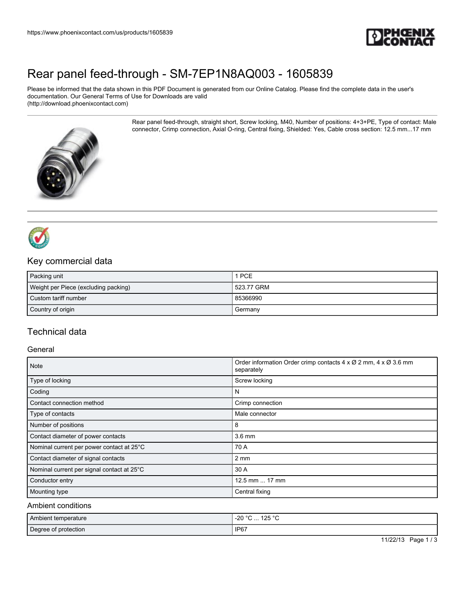

## [Rear panel feed-through - SM-7EP1N8AQ003 - 1605839](https://www.phoenixcontact.com/us/products/1605839)

Please be informed that the data shown in this PDF Document is generated from our Online Catalog. Please find the complete data in the user's documentation. Our General Terms of Use for Downloads are valid (http://download.phoenixcontact.com)

> Rear panel feed-through, straight short, Screw locking, M40, Number of positions: 4+3+PE, Type of contact: Male connector, Crimp connection, Axial O-ring, Central fixing, Shielded: Yes, Cable cross section: 12.5 mm...17 mm





### Key commercial data

| Packing unit                         | 1 PCE      |
|--------------------------------------|------------|
| Weight per Piece (excluding packing) | 523.77 GRM |
| Custom tariff number                 | 85366990   |
| Country of origin                    | Germany    |

### Technical data

#### General

| <b>Note</b>                                | Order information Order crimp contacts 4 x Ø 2 mm, 4 x Ø 3.6 mm<br>separately |
|--------------------------------------------|-------------------------------------------------------------------------------|
| Type of locking                            | Screw locking                                                                 |
| Coding                                     | N                                                                             |
| Contact connection method                  | Crimp connection                                                              |
| Type of contacts                           | Male connector                                                                |
| Number of positions                        | 8                                                                             |
| Contact diameter of power contacts         | $3.6 \text{ mm}$                                                              |
| Nominal current per power contact at 25°C  | 70 A                                                                          |
| Contact diameter of signal contacts        | $2 \, \text{mm}$                                                              |
| Nominal current per signal contact at 25°C | 30 A                                                                          |
| Conductor entry                            | 12.5 mm  17 mm                                                                |
| Mounting type                              | Central fixing                                                                |

#### Ambient conditions

| Ambient temperature  | 125°<br>-20 °C<br>$\sim$ |
|----------------------|--------------------------|
| Degree of protection | IP67                     |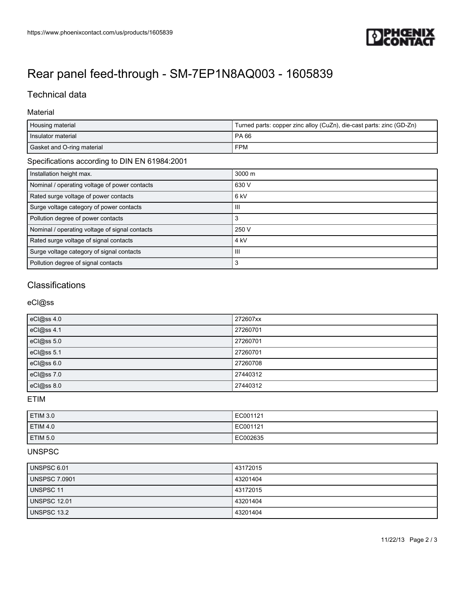

# [Rear panel feed-through - SM-7EP1N8AQ003 - 1605839](https://www.phoenixcontact.com/us/products/1605839)

## Technical data

#### Material

| Housing material                               | Turned parts: copper zinc alloy (CuZn), die-cast parts: zinc (GD-Zn) |
|------------------------------------------------|----------------------------------------------------------------------|
| Insulator material                             | PA 66                                                                |
| Gasket and O-ring material                     | <b>FPM</b>                                                           |
| Specifications according to DIN EN 61984:2001  |                                                                      |
| Installation height max.                       | 3000 m                                                               |
| Nominal / operating voltage of power contacts  | 630 V                                                                |
| Rated surge voltage of power contacts          | 6 <sub>kV</sub>                                                      |
| Surge voltage category of power contacts       | Ш                                                                    |
| Pollution degree of power contacts             | 3                                                                    |
| Nominal / operating voltage of signal contacts | 250 V                                                                |
| Rated surge voltage of signal contacts         | 4 <sub>kV</sub>                                                      |
| Surge voltage category of signal contacts      | Ш                                                                    |
| Pollution degree of signal contacts            | 3                                                                    |

### **Classifications**

#### eCl@ss

| eCl@ss 4.0 | 272607xx |
|------------|----------|
| eCl@ss 4.1 | 27260701 |
| eCl@ss 5.0 | 27260701 |
| eCl@ss 5.1 | 27260701 |
| eCl@ss 6.0 | 27260708 |
| eCl@ss 7.0 | 27440312 |
| eCl@ss 8.0 | 27440312 |

ETIM

| <b>ETIM 3.0</b>     | EC001121 |
|---------------------|----------|
| <b>ETIM 4.0</b>     | EC001121 |
| ETIM <sub>5.0</sub> | EC002635 |

#### UNSPSC

| <b>UNSPSC 6.01</b>   | 43172015 |
|----------------------|----------|
| <b>UNSPSC 7.0901</b> | 43201404 |
| <b>UNSPSC 11</b>     | 43172015 |
| <b>UNSPSC 12.01</b>  | 43201404 |
| UNSPSC 13.2          | 43201404 |